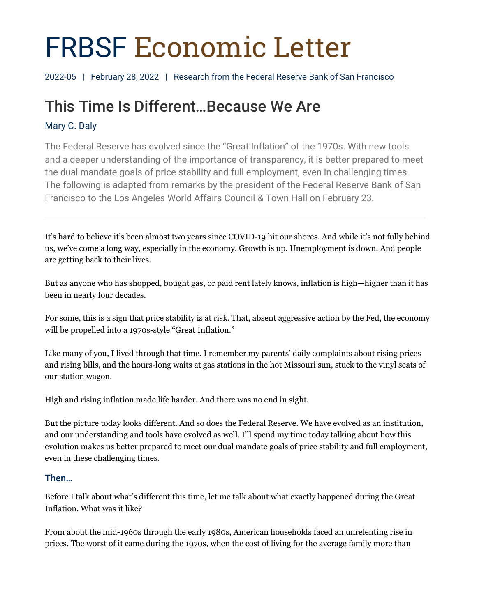# FRBSF Economic Letter

2022-05 | February 28, 2022 | Research from the Federal Reserve Bank of San Francisco

# This Time Is Different…Because We Are

# Mary C. Daly

The Federal Reserve has evolved since the "Great Inflation" of the 1970s. With new tools and a deeper understanding of the importance of transparency, it is better prepared to meet the dual mandate goals of price stability and full employment, even in challenging times. The following is adapted from remarks by the president of the Federal Reserve Bank of San Francisco to the Los Angeles World Affairs Council & Town Hall on February 23.

It's hard to believe it's been almost two years since COVID-19 hit our shores. And while it's not fully behind us, we've come a long way, especially in the economy. Growth is up. Unemployment is down. And people are getting back to their lives.

But as anyone who has shopped, bought gas, or paid rent lately knows, inflation is high—higher than it has been in nearly four decades.

For some, this is a sign that price stability is at risk. That, absent aggressive action by the Fed, the economy will be propelled into a 1970s-style "Great Inflation."

Like many of you, I lived through that time. I remember my parents' daily complaints about rising prices and rising bills, and the hours-long waits at gas stations in the hot Missouri sun, stuck to the vinyl seats of our station wagon.

High and rising inflation made life harder. And there was no end in sight.

But the picture today looks different. And so does the Federal Reserve. We have evolved as an institution, and our understanding and tools have evolved as well. I'll spend my time today talking about how this evolution makes us better prepared to meet our dual mandate goals of price stability and full employment, even in these challenging times.

# Then…

Before I talk about what's different this time, let me talk about what exactly happened during the Great Inflation. What was it like?

From about the mid-1960s through the early 1980s, American households faced an unrelenting rise in prices. The worst of it came during the 1970s, when the cost of living for the average family more than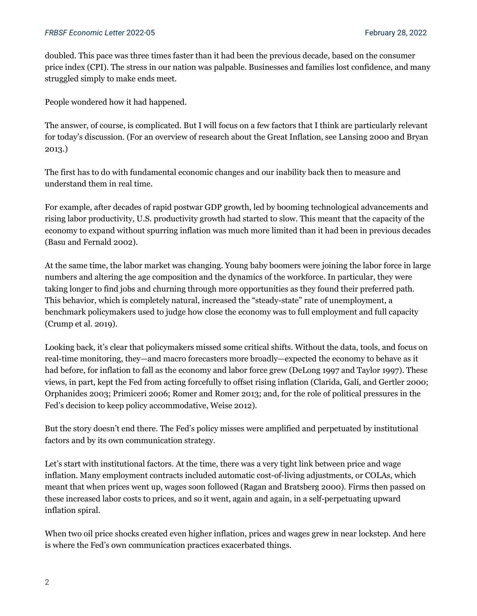doubled. This pace was three times faster than it had been the previous decade, based on the consumer price index (CPI). The stress in our nation was palpable. Businesses and families lost confidence, and many struggled simply to make ends meet.

People wondered how it had happened.

The answer, of course, is complicated. But I will focus on a few factors that I think are particularly relevant for today's discussion. (For an overview of research about the Great Inflation, see Lansing 2000 and Bryan 2013.)

The first has to do with fundamental economic changes and our inability back then to measure and understand them in real time.

For example, after decades of rapid postwar GDP growth, led by booming technological advancements and rising labor productivity, U.S. productivity growth had started to slow. This meant that the capacity of the economy to expand without spurring inflation was much more limited than it had been in previous decades (Basu and Fernald 2002).

At the same time, the labor market was changing. Young baby boomers were joining the labor force in large numbers and altering the age composition and the dynamics of the workforce. In particular, they were taking longer to find jobs and churning through more opportunities as they found their preferred path. This behavior, which is completely natural, increased the "steady-state" rate of unemployment, a benchmark policymakers used to judge how close the economy was to full employment and full capacity (Crump et al. 2019).

Looking back, it's clear that policymakers missed some critical shifts. Without the data, tools, and focus on real-time monitoring, they—and macro forecasters more broadly—expected the economy to behave as it had before, for inflation to fall as the economy and labor force grew (DeLong 1997 and Taylor 1997). These views, in part, kept the Fed from acting forcefully to offset rising inflation (Clarida, Galí, and Gertler 2000; Orphanides 2003; Primiceri 2006; Romer and Romer 2013; and, for the role of political pressures in the Fed's decision to keep policy accommodative, Weise 2012).

But the story doesn't end there. The Fed's policy misses were amplified and perpetuated by institutional factors and by its own communication strategy.

Let's start with institutional factors. At the time, there was a very tight link between price and wage inflation. Many employment contracts included automatic cost-of-living adjustments, or COLAs, which meant that when prices went up, wages soon followed (Ragan and Bratsberg 2000). Firms then passed on these increased labor costs to prices, and so it went, again and again, in a self-perpetuating upward inflation spiral.

When two oil price shocks created even higher inflation, prices and wages grew in near lockstep. And here is where the Fed's own communication practices exacerbated things.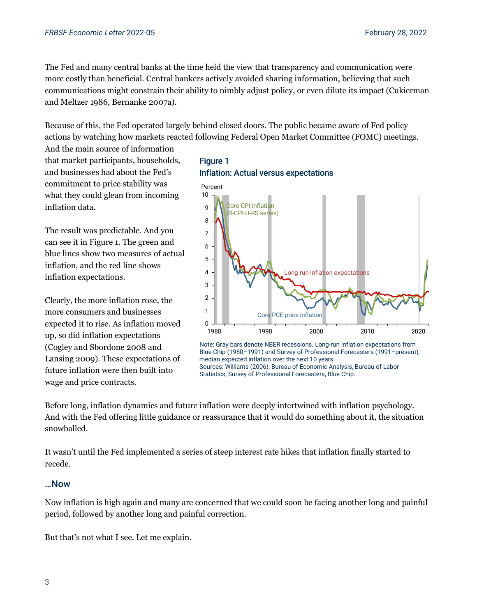The Fed and many central banks at the time held the view that transparency and communication were more costly than beneficial. Central bankers actively avoided sharing information, believing that such communications might constrain their ability to nimbly adjust policy, or even dilute its impact (Cukierman and Meltzer 1986, Bernanke 2007a).

Because of this, the Fed operated largely behind closed doors. The public became aware of Fed policy actions by watching how markets reacted following Federal Open Market Committee (FOMC) meetings.

And the main source of information that market participants, households, and businesses had about the Fed's commitment to price stability was what they could glean from incoming inflation data.

The result was predictable. And you can see it in Figure 1. The green and blue lines show two measures of actual inflation, and the red line shows inflation expectations.

Clearly, the more inflation rose, the more consumers and businesses expected it to rise. As inflation moved up, so did inflation expectations (Cogley and Sbordone 2008 and Lansing 2009). These expectations of future inflation were then built into wage and price contracts.





Note: Gray bars denote NBER recessions. Long-run inflation expectations from Blue Chip (1980–1991) and Survey of Professional Forecasters (1991–present), median expected inflation over the next 10 years. Sources: Williams (2006), Bureau of Economic Analysis, Bureau of Labor Statistics, Survey of Professional Forecasters, Blue Chip.

Before long, inflation dynamics and future inflation were deeply intertwined with inflation psychology. And with the Fed offering little guidance or reassurance that it would do something about it, the situation snowballed.

It wasn't until the Fed implemented a series of steep interest rate hikes that inflation finally started to recede.

#### …Now

Now inflation is high again and many are concerned that we could soon be facing another long and painful period, followed by another long and painful correction.

But that's not what I see. Let me explain.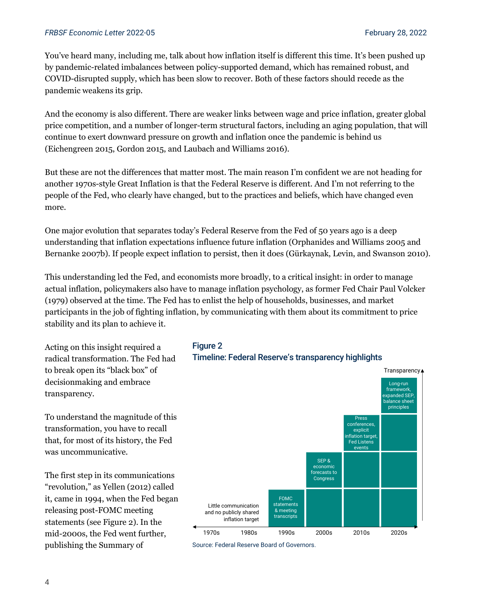You've heard many, including me, talk about how inflation itself is different this time. It's been pushed up by pandemic-related imbalances between policy-supported demand, which has remained robust, and COVID-disrupted supply, which has been slow to recover. Both of these factors should recede as the pandemic weakens its grip.

And the economy is also different. There are weaker links between wage and price inflation, greater global price competition, and a number of longer-term structural factors, including an aging population, that will continue to exert downward pressure on growth and inflation once the pandemic is behind us (Eichengreen 2015, Gordon 2015, and Laubach and Williams 2016).

But these are not the differences that matter most. The main reason I'm confident we are not heading for another 1970s-style Great Inflation is that the Federal Reserve is different. And I'm not referring to the people of the Fed, who clearly have changed, but to the practices and beliefs, which have changed even more.

One major evolution that separates today's Federal Reserve from the Fed of 50 years ago is a deep understanding that inflation expectations influence future inflation (Orphanides and Williams 2005 and Bernanke 2007b). If people expect inflation to persist, then it does (Gürkaynak, Levin, and Swanson 2010).

This understanding led the Fed, and economists more broadly, to a critical insight: in order to manage actual inflation, policymakers also have to manage inflation psychology, as former Fed Chair Paul Volcker (1979) observed at the time. The Fed has to enlist the help of households, businesses, and market participants in the job of fighting inflation, by communicating with them about its commitment to price stability and its plan to achieve it.

Acting on this insight required a radical transformation. The Fed had to break open its "black box" of decisionmaking and embrace transparency.

To understand the magnitude of this transformation, you have to recall that, for most of its history, the Fed was uncommunicative.

The first step in its communications "revolution," as Yellen (2012) called it, came in 1994, when the Fed began releasing post-FOMC meeting statements (see Figure 2). In the mid-2000s, the Fed went further, publishing the Summary of

#### Figure 2

#### Timeline: Federal Reserve's transparency highlights



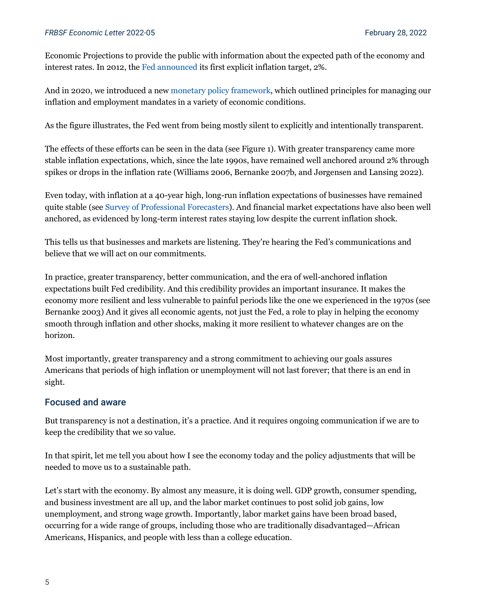Economic Projections to provide the public with information about the expected path of the economy and interest rates. In 2012, the [Fed announced](https://www.federalreserve.gov/newsevents/pressreleases/monetary20120125c.htm) its first explicit inflation target, 2%.

And in 2020, we introduced a new [monetary policy framework,](https://www.federalreserve.gov/newsevents/pressreleases/monetary20200827a.htm) which outlined principles for managing our inflation and employment mandates in a variety of economic conditions.

As the figure illustrates, the Fed went from being mostly silent to explicitly and intentionally transparent.

The effects of these efforts can be seen in the data (see Figure 1). With greater transparency came more stable inflation expectations, which, since the late 1990s, have remained well anchored around 2% through spikes or drops in the inflation rate (Williams 2006, Bernanke 2007b, and Jørgensen and Lansing 2022).

Even today, with inflation at a 40-year high, long-run inflation expectations of businesses have remained quite stable (see Survey [of Professional Forecasters\)](https://www.philadelphiafed.org/surveys-and-data/real-time-data-research/survey-of-professional-forecasters). And financial market expectations have also been well anchored, as evidenced by long-term interest rates staying low despite the current inflation shock.

This tells us that businesses and markets are listening. They're hearing the Fed's communications and believe that we will act on our commitments.

In practice, greater transparency, better communication, and the era of well-anchored inflation expectations built Fed credibility. And this credibility provides an important insurance. It makes the economy more resilient and less vulnerable to painful periods like the one we experienced in the 1970s (see Bernanke 2003) And it gives all economic agents, not just the Fed, a role to play in helping the economy smooth through inflation and other shocks, making it more resilient to whatever changes are on the horizon.

Most importantly, greater transparency and a strong commitment to achieving our goals assures Americans that periods of high inflation or unemployment will not last forever; that there is an end in sight.

#### Focused and aware

But transparency is not a destination, it's a practice. And it requires ongoing communication if we are to keep the credibility that we so value.

In that spirit, let me tell you about how I see the economy today and the policy adjustments that will be needed to move us to a sustainable path.

Let's start with the economy. By almost any measure, it is doing well. GDP growth, consumer spending, and business investment are all up, and the labor market continues to post solid job gains, low unemployment, and strong wage growth. Importantly, labor market gains have been broad based, occurring for a wide range of groups, including those who are traditionally disadvantaged—African Americans, Hispanics, and people with less than a college education.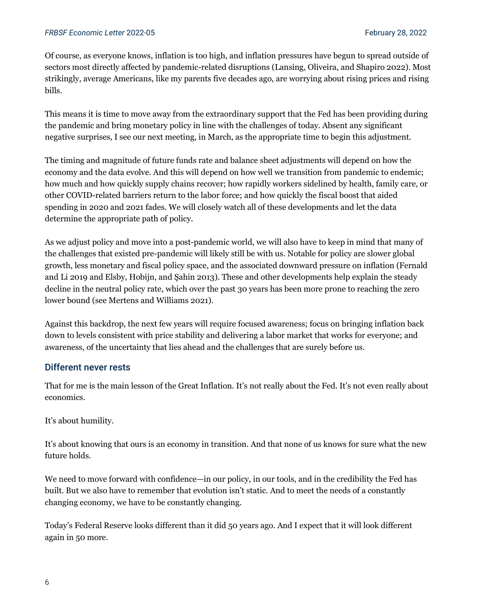Of course, as everyone knows, inflation is too high, and inflation pressures have begun to spread outside of sectors most directly affected by pandemic-related disruptions (Lansing, Oliveira, and Shapiro 2022). Most strikingly, average Americans, like my parents five decades ago, are worrying about rising prices and rising bills.

This means it is time to move away from the extraordinary support that the Fed has been providing during the pandemic and bring monetary policy in line with the challenges of today. Absent any significant negative surprises, I see our next meeting, in March, as the appropriate time to begin this adjustment.

The timing and magnitude of future funds rate and balance sheet adjustments will depend on how the economy and the data evolve. And this will depend on how well we transition from pandemic to endemic; how much and how quickly supply chains recover; how rapidly workers sidelined by health, family care, or other COVID-related barriers return to the labor force; and how quickly the fiscal boost that aided spending in 2020 and 2021 fades. We will closely watch all of these developments and let the data determine the appropriate path of policy.

As we adjust policy and move into a post-pandemic world, we will also have to keep in mind that many of the challenges that existed pre-pandemic will likely still be with us. Notable for policy are slower global growth, less monetary and fiscal policy space, and the associated downward pressure on inflation (Fernald and Li 2019 and Elsby, Hobijn, and Şahin 2013). These and other developments help explain the steady decline in the neutral policy rate, which over the past 30 years has been more prone to reaching the zero lower bound (see Mertens and Williams 2021).

Against this backdrop, the next few years will require focused awareness; focus on bringing inflation back down to levels consistent with price stability and delivering a labor market that works for everyone; and awareness, of the uncertainty that lies ahead and the challenges that are surely before us.

### Different never rests

That for me is the main lesson of the Great Inflation. It's not really about the Fed. It's not even really about economics.

It's about humility.

It's about knowing that ours is an economy in transition. And that none of us knows for sure what the new future holds.

We need to move forward with confidence—in our policy, in our tools, and in the credibility the Fed has built. But we also have to remember that evolution isn't static. And to meet the needs of a constantly changing economy, we have to be constantly changing.

Today's Federal Reserve looks different than it did 50 years ago. And I expect that it will look different again in 50 more.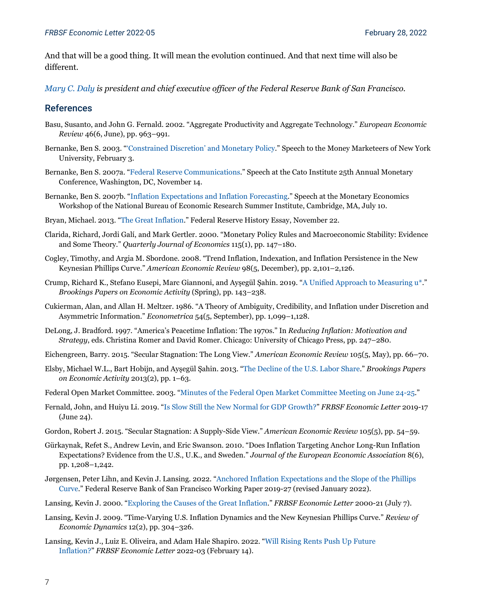And that will be a good thing. It will mean the evolution continued. And that next time will also be different.

*[Mary C. Daly](https://www.frbsf.org/economic-research/economists/mary-c-daly/) is president and chief executive officer of the Federal Reserve Bank of San Francisco.*

#### References

- Basu, Susanto, and John G. Fernald. 2002. "Aggregate Productivity and Aggregate Technology." *European Economic Review* 46(6, June), pp. 963–991.
- Bernanke, Ben S. 2003. ["'Constrained Discretion' and Monetary Policy.](https://www.federalreserve.gov/boarddocs/speeches/2003/20030203/default.htm)" Speech to the Money Marketeers of New York University, February 3.
- Bernanke, Ben S. 2007a. ["Federal Reserve Communications."](https://www.federalreserve.gov/newsevents/speech/bernanke20071114a.htm) Speech at the Cato Institute 25th Annual Monetary Conference, Washington, DC, November 14.
- Bernanke, Ben S. 2007b. ["Inflation Expectations and Inflation Forecasting."](https://www.federalreserve.gov/newsevents/speech/bernanke20070710a.htm) Speech at the Monetary Economics Workshop of the National Bureau of Economic Research Summer Institute, Cambridge, MA, July 10.
- Bryan, Michael. 2013. ["The Great Inflation.](https://www.federalreservehistory.org/essays/great-inflation)" Federal Reserve History Essay, November 22.
- Clarida, Richard, Jordi Galí, and Mark Gertler. 2000. "Monetary Policy Rules and Macroeconomic Stability: Evidence and Some Theory." *Quarterly Journal of Economics* 115(1), pp. 147–180.
- Cogley, Timothy, and Argia M. Sbordone. 2008. "Trend Inflation, Indexation, and Inflation Persistence in the New Keynesian Phillips Curve." *American Economic Review* 98(5, December), pp. 2,101–2,126.
- Crump, Richard K., Stefano Eusepi, Marc Giannoni, and Ayşegül Şahin. 2019. "[A Unified Approach to Measuring u\\*.](https://www.brookings.edu/bpea-articles/a-unified-approach-to-measuring-u/)" *Brookings Papers on Economic Activity* (Spring), pp. 143–238.
- Cukierman, Alan, and Allan H. Meltzer. 1986. "A Theory of Ambiguity, Credibility, and Inflation under Discretion and Asymmetric Information." *Econometrica* 54(5, September), pp. 1,099–1,128.
- DeLong, J. Bradford. 1997. "America's Peacetime Inflation: The 1970s." In *Reducing Inflation: Motivation and Strategy*, eds. Christina Romer and David Romer. Chicago: University of Chicago Press, pp. 247–280.
- Eichengreen, Barry. 2015. "Secular Stagnation: The Long View." *American Economic Review* 105(5, May), pp. 66–70.
- Elsby, Michael W.L., Bart Hobijn, and Ayşegül Şahin. 2013. "[The Decline of the U.S. Labor Share.](https://www.brookings.edu/bpea-articles/the-decline-of-the-u-s-labor-share/)" *Brookings Papers on Economic Activity* 2013(2), pp. 1–63.
- Federal Open Market Committee. 2003. ["Minutes of the Federal Open Market Committee Meeting on June 24-25.](https://www.federalreserve.gov/monetarypolicy/files/FOMC20030625meeting.pdf)"
- Fernald, John, and Huiyu Li. 2019. ["Is Slow Still the New Normal for GDP Growth?"](https://www.frbsf.org/economic-research/publications/economic-letter/2019/june/is-slow-still-new-normal-for-gdp-growth/) *FRBSF Economic Letter* 2019-17 (June 24).
- Gordon, Robert J. 2015. "Secular Stagnation: A Supply-Side View." *American Economic Review* 105(5), pp. 54–59.
- Gürkaynak, Refet S., Andrew Levin, and Eric Swanson. 2010. "Does Inflation Targeting Anchor Long-Run Inflation Expectations? Evidence from the U.S., U.K., and Sweden." *Journal of the European Economic Association* 8(6), pp. 1,208–1,242.
- Jørgensen, Peter Lihn, and Kevin J. Lansing. 2022. ["Anchored Inflation Expectations and the Slope of the Phillips](https://www.frbsf.org/economic-research/publications/working-papers/2019/27/)  [Curve."](https://www.frbsf.org/economic-research/publications/working-papers/2019/27/) Federal Reserve Bank of San Francisco Working Paper 2019-27 (revised January 2022).
- Lansing, Kevin J. 2000. ["Exploring the Causes of the Great Inflation."](https://www.frbsf.org/economic-research/publications/economic-letter/2000/july/exploring-the-causes-of-the-great-inflation/) *FRBSF Economic Letter* 2000-21 (July 7).
- Lansing, Kevin J. 2009. "Time-Varying U.S. Inflation Dynamics and the New Keynesian Phillips Curve." *Review of Economic Dynamics* 12(2), pp. 304–326.
- Lansing, Kevin J., Luiz E. Oliveira, and Adam Hale Shapiro. 2022. ["Will Rising Rents Push Up Future](https://www.frbsf.org/economic-research/publications/economic-letter/2022/february/will-rising-rents-push-up-future-inflation/)  [Inflation?"](https://www.frbsf.org/economic-research/publications/economic-letter/2022/february/will-rising-rents-push-up-future-inflation/) *FRBSF Economic Letter* 2022-03 (February 14).